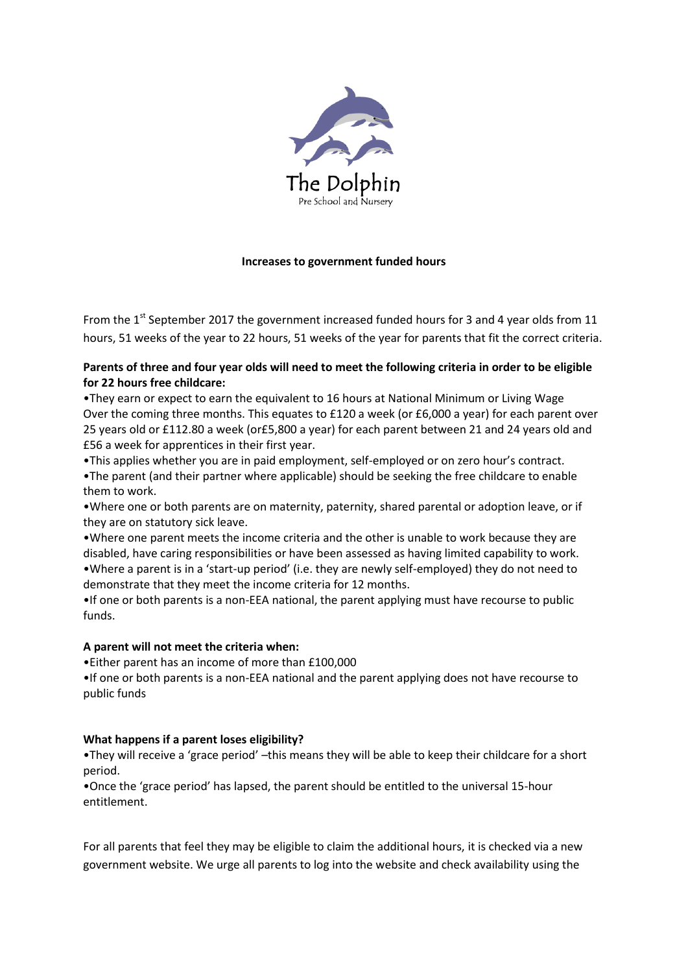

### **Increases to government funded hours**

From the  $1<sup>st</sup>$  September 2017 the government increased funded hours for 3 and 4 year olds from 11 hours, 51 weeks of the year to 22 hours, 51 weeks of the year for parents that fit the correct criteria.

# **Parents of three and four year olds will need to meet the following criteria in order to be eligible for 22 hours free childcare:**

•They earn or expect to earn the equivalent to 16 hours at National Minimum or Living Wage Over the coming three months. This equates to £120 a week (or £6,000 a year) for each parent over 25 years old or £112.80 a week (or£5,800 a year) for each parent between 21 and 24 years old and £56 a week for apprentices in their first year.

•This applies whether you are in paid employment, self-employed or on zero hour's contract. •The parent (and their partner where applicable) should be seeking the free childcare to enable them to work.

•Where one or both parents are on maternity, paternity, shared parental or adoption leave, or if they are on statutory sick leave.

•Where one parent meets the income criteria and the other is unable to work because they are disabled, have caring responsibilities or have been assessed as having limited capability to work. •Where a parent is in a 'start-up period' (i.e. they are newly self-employed) they do not need to demonstrate that they meet the income criteria for 12 months.

•If one or both parents is a non-EEA national, the parent applying must have recourse to public funds.

### **A parent will not meet the criteria when:**

•Either parent has an income of more than £100,000

•If one or both parents is a non-EEA national and the parent applying does not have recourse to public funds

### **What happens if a parent loses eligibility?**

•They will receive a 'grace period' –this means they will be able to keep their childcare for a short period.

•Once the 'grace period' has lapsed, the parent should be entitled to the universal 15-hour entitlement.

For all parents that feel they may be eligible to claim the additional hours, it is checked via a new government website. We urge all parents to log into the website and check availability using the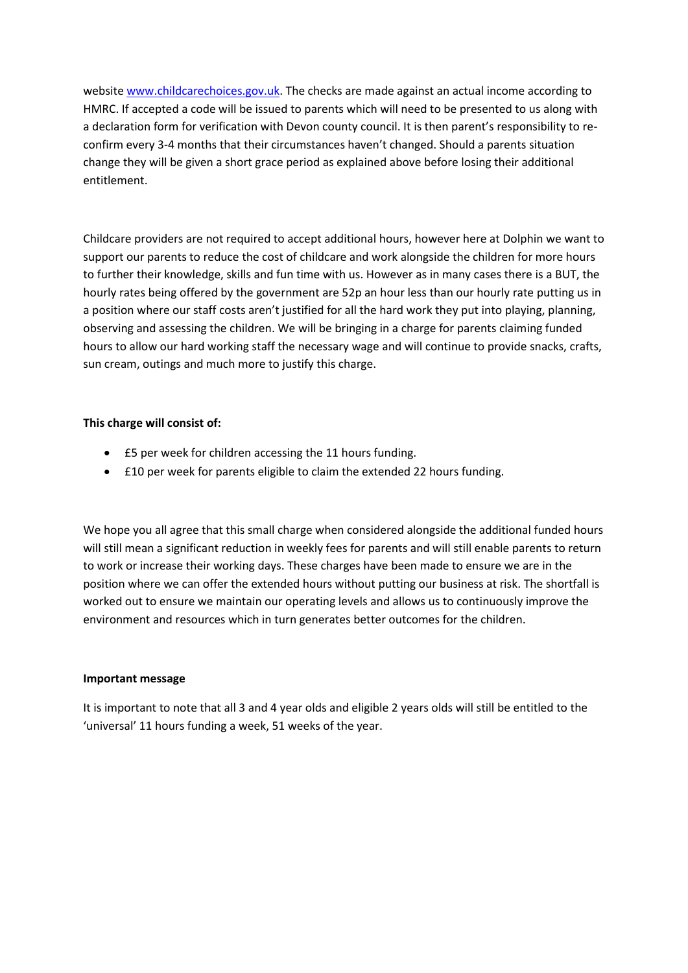websit[e www.childcarechoices.gov.uk.](http://www.childcarechoices.gov.uk/) The checks are made against an actual income according to HMRC. If accepted a code will be issued to parents which will need to be presented to us along with a declaration form for verification with Devon county council. It is then parent's responsibility to reconfirm every 3-4 months that their circumstances haven't changed. Should a parents situation change they will be given a short grace period as explained above before losing their additional entitlement.

Childcare providers are not required to accept additional hours, however here at Dolphin we want to support our parents to reduce the cost of childcare and work alongside the children for more hours to further their knowledge, skills and fun time with us. However as in many cases there is a BUT, the hourly rates being offered by the government are 52p an hour less than our hourly rate putting us in a position where our staff costs aren't justified for all the hard work they put into playing, planning, observing and assessing the children. We will be bringing in a charge for parents claiming funded hours to allow our hard working staff the necessary wage and will continue to provide snacks, crafts, sun cream, outings and much more to justify this charge.

## **This charge will consist of:**

- £5 per week for children accessing the 11 hours funding.
- £10 per week for parents eligible to claim the extended 22 hours funding.

We hope you all agree that this small charge when considered alongside the additional funded hours will still mean a significant reduction in weekly fees for parents and will still enable parents to return to work or increase their working days. These charges have been made to ensure we are in the position where we can offer the extended hours without putting our business at risk. The shortfall is worked out to ensure we maintain our operating levels and allows us to continuously improve the environment and resources which in turn generates better outcomes for the children.

### **Important message**

It is important to note that all 3 and 4 year olds and eligible 2 years olds will still be entitled to the 'universal' 11 hours funding a week, 51 weeks of the year.